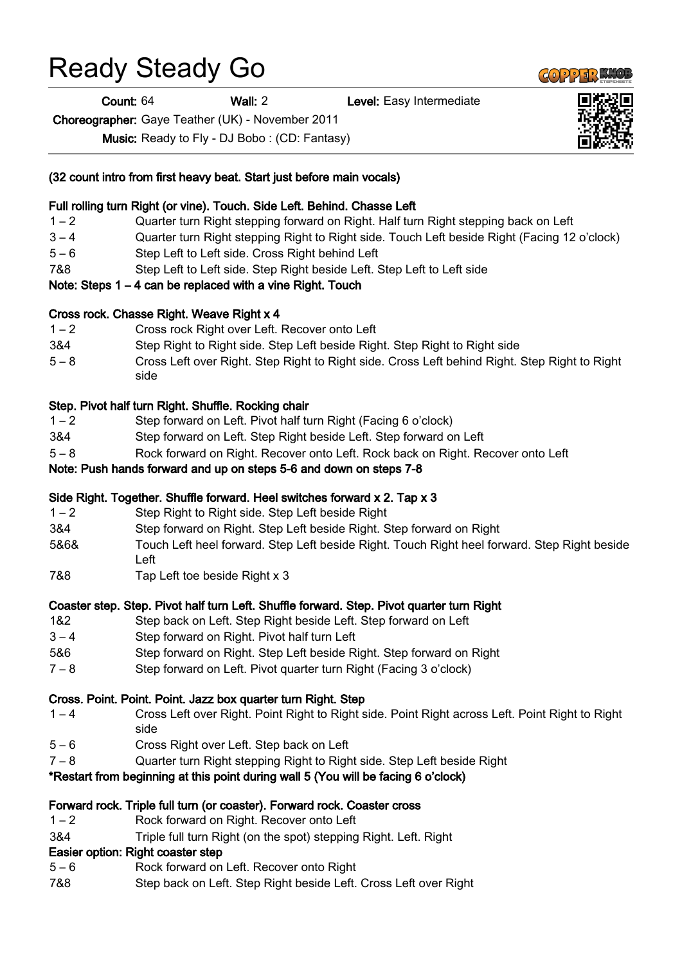# Ready Steady Go

Count: 64 Wall: 2 Level: Easy Intermediate

Choreographer: Gaye Teather (UK) - November 2011

Music: Ready to Fly - DJ Bobo : (CD: Fantasy)

|  |  | (32 count intro from first heavy beat. Start just before main vocals) |  |
|--|--|-----------------------------------------------------------------------|--|
|  |  |                                                                       |  |

#### Full rolling turn Right (or vine). Touch. Side Left. Behind. Chasse Left

- 1 2 Quarter turn Right stepping forward on Right. Half turn Right stepping back on Left
- 3 4 Quarter turn Right stepping Right to Right side. Touch Left beside Right (Facing 12 o'clock)
- 5 6 Step Left to Left side. Cross Right behind Left
- 7&8 Step Left to Left side. Step Right beside Left. Step Left to Left side
- Note: Steps 1 4 can be replaced with a vine Right. Touch

#### Cross rock. Chasse Right. Weave Right x 4

- 1 2 Cross rock Right over Left. Recover onto Left
- 3&4 Step Right to Right side. Step Left beside Right. Step Right to Right side
- 5 8 Cross Left over Right. Step Right to Right side. Cross Left behind Right. Step Right to Right side

### Step. Pivot half turn Right. Shuffle. Rocking chair

- 1 2 Step forward on Left. Pivot half turn Right (Facing 6 o'clock)
- 3&4 Step forward on Left. Step Right beside Left. Step forward on Left
- 5 8 Rock forward on Right. Recover onto Left. Rock back on Right. Recover onto Left

#### Note: Push hands forward and up on steps 5-6 and down on steps 7-8

#### Side Right. Together. Shuffle forward. Heel switches forward x 2. Tap x 3

- 1 2 Step Right to Right side. Step Left beside Right
- 3&4 Step forward on Right. Step Left beside Right. Step forward on Right
- 5&6& Touch Left heel forward. Step Left beside Right. Touch Right heel forward. Step Right beside Left
- 7&8 Tap Left toe beside Right x 3

#### Coaster step. Step. Pivot half turn Left. Shuffle forward. Step. Pivot quarter turn Right

- 1&2 Step back on Left. Step Right beside Left. Step forward on Left
- 3 4 Step forward on Right. Pivot half turn Left
- 5&6 Step forward on Right. Step Left beside Right. Step forward on Right
- 7 8 Step forward on Left. Pivot quarter turn Right (Facing 3 o'clock)

#### Cross. Point. Point. Point. Jazz box quarter turn Right. Step

- 1 4 Cross Left over Right. Point Right to Right side. Point Right across Left. Point Right to Right side
- 5 6 Cross Right over Left. Step back on Left
- 7 8 Quarter turn Right stepping Right to Right side. Step Left beside Right

#### \*Restart from beginning at this point during wall 5 (You will be facing 6 o'clock)

#### Forward rock. Triple full turn (or coaster). Forward rock. Coaster cross

- 1 2 Rock forward on Right. Recover onto Left
- 3&4 Triple full turn Right (on the spot) stepping Right. Left. Right

# Easier option: Right coaster step

- 5 6 Rock forward on Left. Recover onto Right
- 7&8 Step back on Left. Step Right beside Left. Cross Left over Right